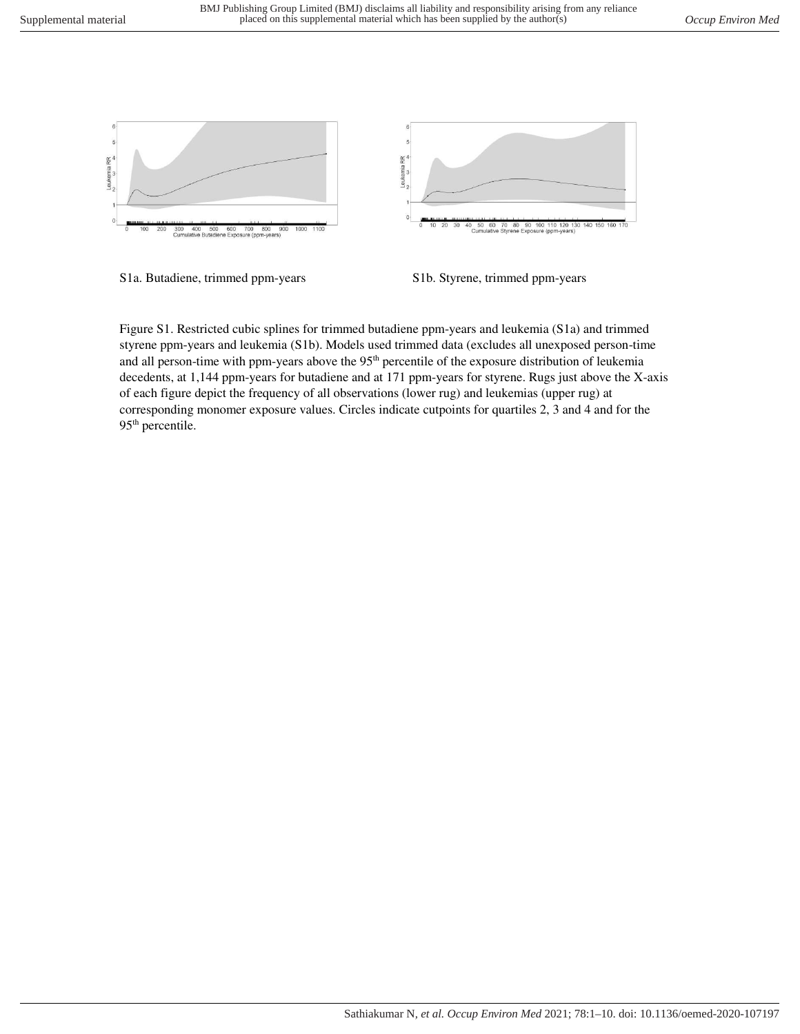

S1a. Butadiene, trimmed ppm-years S1b. Styrene, trimmed ppm-years

Figure S1. Restricted cubic splines for trimmed butadiene ppm-years and leukemia (S1a) and trimmed styrene ppm-years and leukemia (S1b). Models used trimmed data (excludes all unexposed person-time and all person-time with ppm-years above the 95<sup>th</sup> percentile of the exposure distribution of leukemia decedents, at 1,144 ppm-years for butadiene and at 171 ppm-years for styrene. Rugs just above the X-axis of each figure depict the frequency of all observations (lower rug) and leukemias (upper rug) at corresponding monomer exposure values. Circles indicate cutpoints for quartiles 2, 3 and 4 and for the 95<sup>th</sup> percentile.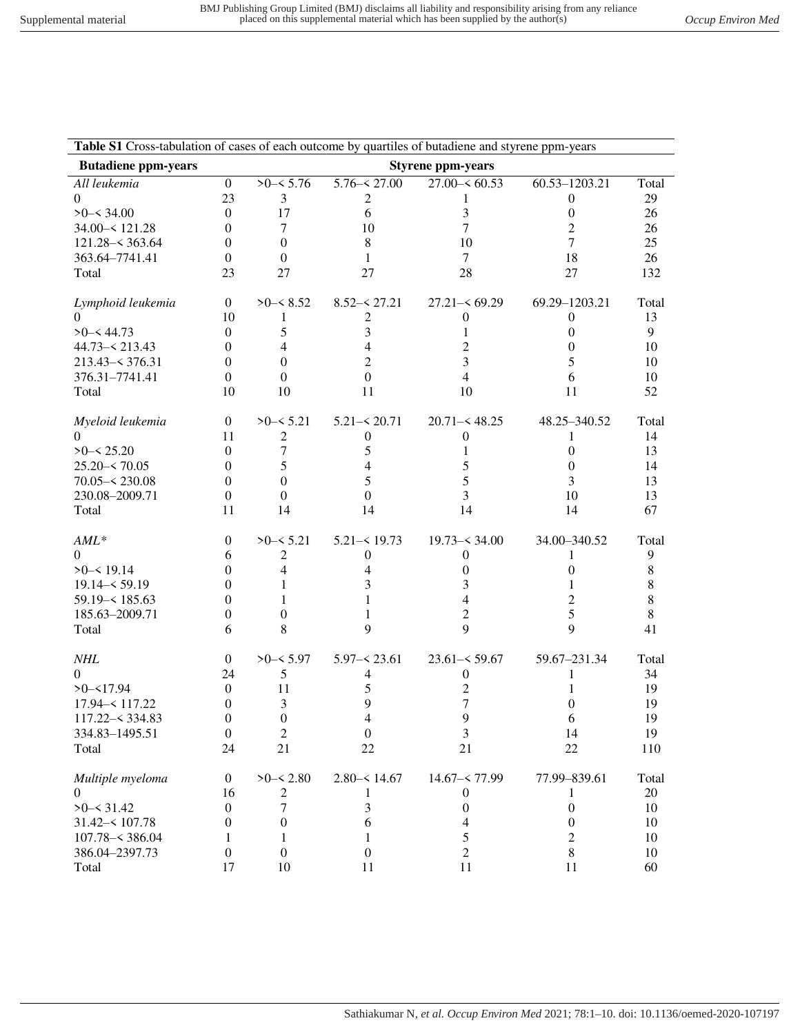| Table S1 Cross-tabulation of cases of each outcome by quartiles of butadiene and styrene ppm-years |                  |                  |                  |                          |                  |       |
|----------------------------------------------------------------------------------------------------|------------------|------------------|------------------|--------------------------|------------------|-------|
| <b>Butadiene ppm-years</b>                                                                         |                  |                  |                  | <b>Styrene ppm-years</b> |                  |       |
| All leukemia                                                                                       | $\mathbf{0}$     | $>0 - 5.76$      | $5.76 - 27.00$   | $27.00 - 60.53$          | 60.53-1203.21    | Total |
| $\Omega$                                                                                           | 23               | 3                | 2                |                          | $\boldsymbol{0}$ | 29    |
| $>0 - 34.00$                                                                                       | $\boldsymbol{0}$ | 17               | 6                | 3                        | $\boldsymbol{0}$ | 26    |
| 34.00 - 121.28                                                                                     | $\overline{0}$   | 7                | 10               | $\overline{7}$           | $\overline{c}$   | 26    |
| $121.28 - 363.64$                                                                                  | $\boldsymbol{0}$ | $\mathbf{0}$     | 8                | 10                       | 7                | 25    |
| 363.64-7741.41                                                                                     | $\boldsymbol{0}$ | $\boldsymbol{0}$ | 1                | $\tau$                   | 18               | 26    |
| Total                                                                                              | 23               | 27               | 27               | 28                       | 27               | 132   |
| Lymphoid leukemia                                                                                  | $\overline{0}$   | $>0$ – $< 8.52$  | $8.52 - 27.21$   | $27.21 - 69.29$          | 69.29-1203.21    | Total |
| 0                                                                                                  | 10               | 1                | 2                | $\boldsymbol{0}$         | $\theta$         | 13    |
| $>0 - 44.73$                                                                                       | $\theta$         | 5                | 3                | 1                        | $\theta$         | 9     |
| $44.73 - 213.43$                                                                                   | $\Omega$         | 4                | 4                | 2                        | $\theta$         | 10    |
| $213.43 - 376.31$                                                                                  | $\boldsymbol{0}$ | $\mathbf{0}$     | $\overline{c}$   | 3                        | 5                | 10    |
| 376.31-7741.41                                                                                     | $\boldsymbol{0}$ | $\boldsymbol{0}$ | $\boldsymbol{0}$ | $\overline{4}$           | 6                | 10    |
| Total                                                                                              | 10               | 10               | 11               | 10                       | 11               | 52    |
| Myeloid leukemia                                                                                   | $\overline{0}$   | $>0-5.21$        | $5.21 - 5.20.71$ | $20.71 - 48.25$          | 48.25-340.52     | Total |
| $\Omega$                                                                                           | 11               | $\overline{c}$   | $\boldsymbol{0}$ | 0                        | 1                | 14    |
| $>0 - 5.20$                                                                                        | $\theta$         | $\tau$           | 5                | 1                        | $\mathbf{0}$     | 13    |
| $25.20 - 70.05$                                                                                    | 0                | 5                | 4                | 5                        | $\theta$         | 14    |
| $70.05 - 230.08$                                                                                   | $\Omega$         | $\Omega$         | 5                | 5                        | 3                | 13    |
| 230.08-2009.71                                                                                     | $\theta$         | $\mathbf{0}$     | $\Omega$         | 3                        | 10               | 13    |
| Total                                                                                              | 11               | 14               | 14               | 14                       | 14               | 67    |
| $AML^*$                                                                                            | $\boldsymbol{0}$ | $>0$ - $< 5.21$  | $5.21 - 19.73$   | $19.73 - 34.00$          | 34.00-340.52     | Total |
| $\Omega$                                                                                           | 6                | $\mathfrak{2}$   | $\mathbf{0}$     | $\mathbf{0}$             | 1                | 9     |
| $>0 - 519.14$                                                                                      | 0                | 4                | 4                | 0                        | 0                | 8     |
| $19.14 - 59.19$                                                                                    | 0                |                  | 3                | 3                        | 1                | 8     |
| $59.19 - 185.63$                                                                                   | 0                |                  | 1                | 4                        | 2                | 8     |
| 185.63-2009.71                                                                                     | $\overline{0}$   | 0                | 1                | 2                        | 5                | 8     |
| Total                                                                                              | 6                | 8                | 9                | 9                        | 9                | 41    |
| <b>NHL</b>                                                                                         | $\boldsymbol{0}$ | $>0 - 5.97$      | $5.97 - 23.61$   | $23.61 - 59.67$          | 59.67-231.34     | Total |
| $\overline{0}$                                                                                     | 24               | 5                | 4                | $\boldsymbol{0}$         | 1                | 34    |
| $>0 - 17.94$                                                                                       | $\boldsymbol{0}$ | 11               | 5                | $\overline{c}$           | 1                | 19    |
| 17.94 - 117.22                                                                                     | $\boldsymbol{0}$ | 3                | 9                | 7                        | 0                | 19    |
| $117.22 - 334.83$                                                                                  | 0                | $\boldsymbol{0}$ | 4                | 9                        | 6                | 19    |
| 334.83-1495.51                                                                                     | $\boldsymbol{0}$ | $\sqrt{2}$       |                  |                          |                  | 19    |
|                                                                                                    |                  |                  | $\boldsymbol{0}$ | 3                        | 14               |       |
| Total                                                                                              | 24               | 21               | 22               | 21                       | 22               | 110   |
| Multiple myeloma                                                                                   | $\boldsymbol{0}$ | $>0 - 5.80$      | $2.80 - 514.67$  | $14.67 - 77.99$          | 77.99-839.61     | Total |
| $\overline{0}$                                                                                     | 16               | $\boldsymbol{2}$ | 1                | $\boldsymbol{0}$         | 1                | 20    |
| $>0 - 31.42$                                                                                       | $\boldsymbol{0}$ | $\tau$           | 3                | $\boldsymbol{0}$         | $\boldsymbol{0}$ | 10    |
| $31.42 - 107.78$                                                                                   | $\boldsymbol{0}$ | $\boldsymbol{0}$ | 6                | 4                        | $\boldsymbol{0}$ | 10    |
| $107.78 - 386.04$                                                                                  | 1                | 1                | 1                | 5                        | $\overline{c}$   | 10    |
| 386.04-2397.73                                                                                     | $\boldsymbol{0}$ | $\boldsymbol{0}$ | $\boldsymbol{0}$ | $\overline{2}$           | 8                | 10    |
| Total                                                                                              | 17               | 10               | 11               | 11                       | 11               | 60    |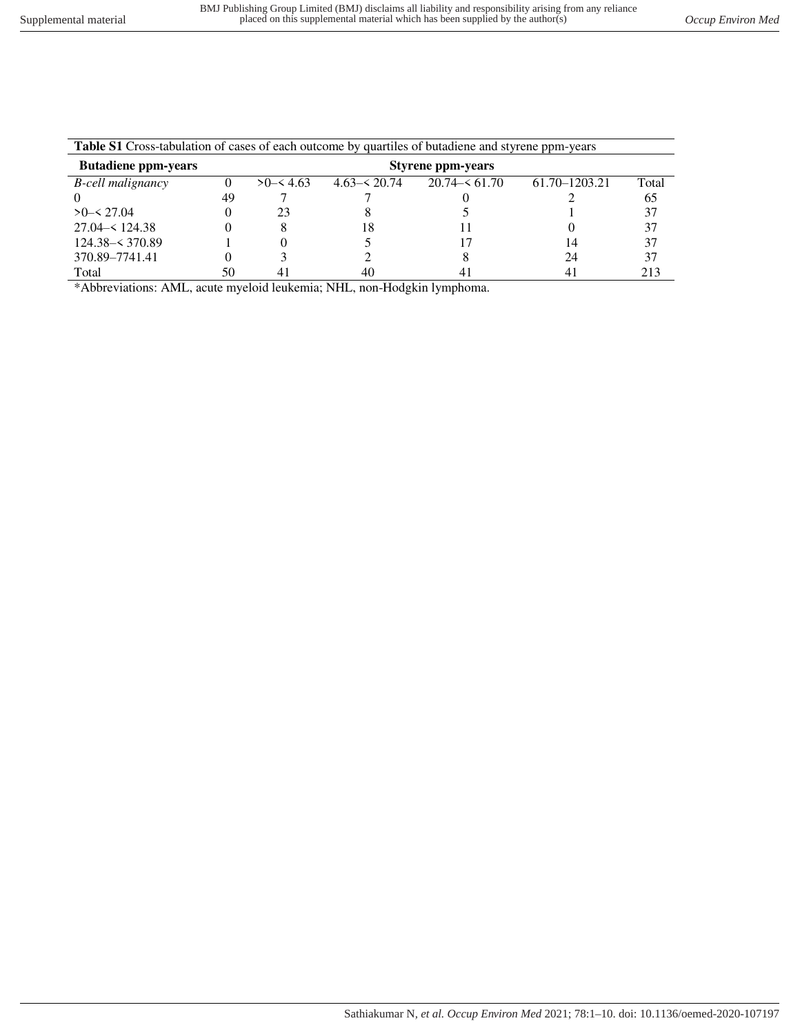| <b>Table S1</b> Cross-tabulation of cases of each outcome by quartiles of butadiene and styrene ppm-years |                          |          |                  |                 |                   |       |  |  |  |  |  |
|-----------------------------------------------------------------------------------------------------------|--------------------------|----------|------------------|-----------------|-------------------|-------|--|--|--|--|--|
| <b>Butadiene ppm-years</b>                                                                                | <b>Styrene ppm-years</b> |          |                  |                 |                   |       |  |  |  |  |  |
| <b>B</b> -cell malignancy                                                                                 |                          | >0< 4.63 | $4.63 - 5.20.74$ | $20.74 - 61.70$ | $61.70 - 1203.21$ | Total |  |  |  |  |  |
|                                                                                                           | 49                       |          |                  |                 |                   | 65    |  |  |  |  |  |
| >0< 27.04                                                                                                 |                          | 23       |                  |                 |                   | 37    |  |  |  |  |  |
| $27.04 - 124.38$                                                                                          |                          | x        | 18               |                 |                   | 37    |  |  |  |  |  |
| $124.38 - 370.89$                                                                                         |                          |          |                  |                 | 14                | 37    |  |  |  |  |  |
| 370.89-7741.41                                                                                            |                          |          |                  |                 | 24                | 37    |  |  |  |  |  |
| Total                                                                                                     | 50                       | 41       | 40               |                 |                   | 213   |  |  |  |  |  |

\*Abbreviations: AML, acute myeloid leukemia; NHL, non-Hodgkin lymphoma.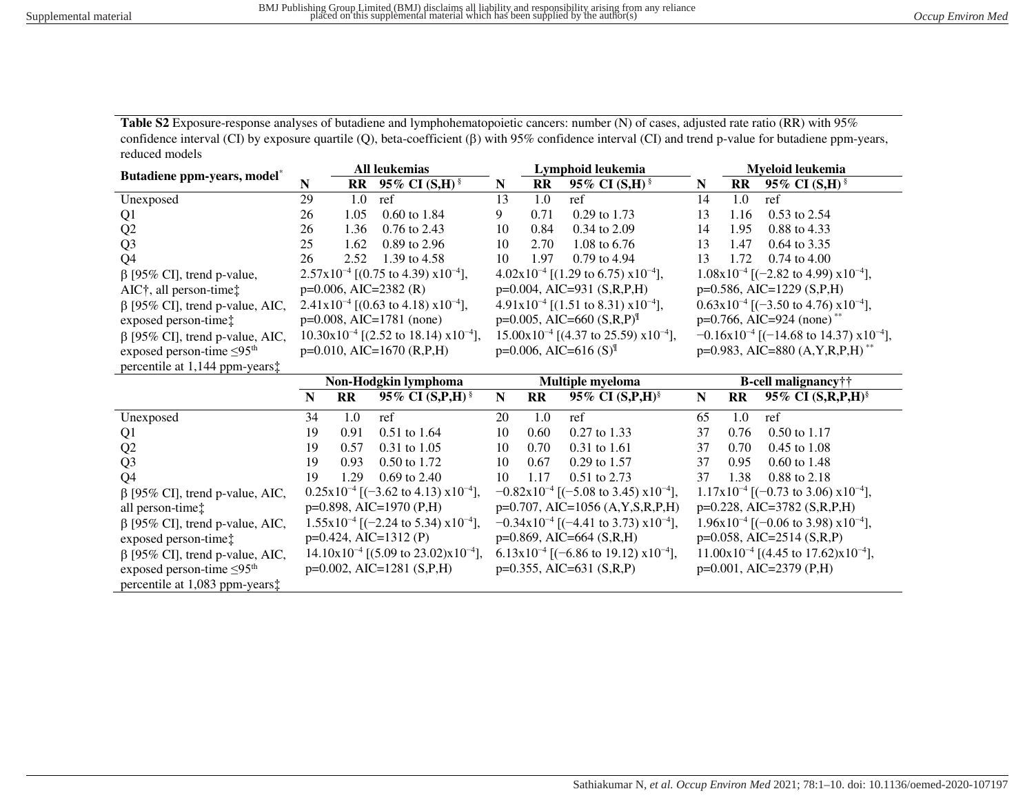**Table S2** Exposure-response analyses of butadiene and lymphohematopoietic cancers: number (N) of cases, adjusted rate ratio (RR) with 95% confidence interval (CI) by exposure quartile (Q), beta-coefficient ( $\beta$ ) with 95% confidence interval (CI) and trend p-value for butadiene ppm-years, reduced models

| Butadiene ppm-years, model <sup>*</sup>     | All leukemias                                  |              |                                                             | Lymphoid leukemia                                           |              |                                                           |                                               | Myeloid leukemia |                                                             |  |
|---------------------------------------------|------------------------------------------------|--------------|-------------------------------------------------------------|-------------------------------------------------------------|--------------|-----------------------------------------------------------|-----------------------------------------------|------------------|-------------------------------------------------------------|--|
|                                             |                                                | $\mathbf{R}$ | 95% CI $(S,H)$ <sup>§</sup>                                 | N                                                           | <b>RR</b>    | 95% CI $(S,H)$ <sup>§</sup>                               | N                                             | <b>RR</b>        | 95% CI $(S,H)$ <sup>§</sup>                                 |  |
| Unexposed                                   | 29                                             | 1.0          | ref                                                         | 13                                                          | 1.0          | ref                                                       | 14                                            | 1.0              | ref                                                         |  |
| Q <sub>1</sub>                              | 26                                             | 1.05         | 0.60 to 1.84                                                | 9                                                           | 0.71         | 0.29 to 1.73                                              | 13                                            | 1.16             | 0.53 to 2.54                                                |  |
| Q2                                          | 26                                             | 1.36         | 0.76 to 2.43                                                | 10                                                          | 0.84         | 0.34 to 2.09                                              | 14                                            | 1.95             | 0.88 to 4.33                                                |  |
| Q <sub>3</sub>                              | 25                                             | 1.62         | 0.89 to 2.96                                                | 10                                                          | 2.70         | 1.08 to 6.76                                              | 13                                            | 1.47             | 0.64 to 3.35                                                |  |
| Q <sub>4</sub>                              | 26                                             | 2.52         | 1.39 to 4.58                                                | 10                                                          | 1.97         | 0.79 to 4.94                                              | 13                                            | 1.72             | $0.74$ to $4.00$                                            |  |
| $\beta$ [95% CI], trend p-value,            |                                                |              | $2.57 \times 10^{-4}$ [(0.75 to 4.39) $\times 10^{-4}$ ],   |                                                             |              | $4.02 \times 10^{-4}$ [(1.29 to 6.75) $\times 10^{-4}$ ], |                                               |                  | $1.08 \times 10^{-4}$ [(-2.82 to 4.99) $\times 10^{-4}$ ],  |  |
| $AIC†$ , all person-time $\ddagger$         |                                                |              | $p=0.006$ , AIC=2382 (R)                                    |                                                             |              | $p=0.004$ , AIC=931 (S,R,P,H)                             |                                               |                  | $p=0.586$ , AIC=1229 (S,P,H)                                |  |
| $\beta$ [95% CI], trend p-value, AIC,       |                                                |              | $2.41x10^{-4}$ [(0.63 to 4.18) $x10^{-4}$ ],                |                                                             |              | $4.91x10^{-4}$ [(1.51 to 8.31) $x10^{-4}$ ],              |                                               |                  | $0.63 \times 10^{-4}$ [(-3.50 to 4.76) $\times 10^{-4}$ ],  |  |
| exposed person-time:                        |                                                |              | $p=0.008$ , AIC=1781 (none)                                 |                                                             |              | $p=0.005$ , AIC=660 (S,R,P) <sup>II</sup>                 |                                               |                  | $p=0.766$ , AIC=924 (none) <sup>**</sup>                    |  |
| $\beta$ [95% CI], trend p-value, AIC,       | $10.30x10^{-4}$ [(2.52 to 18.14) $x10^{-4}$ ], |              | $15.00 \times 10^{-4}$ [(4.37 to 25.59) $\times 10^{-4}$ ], |                                                             |              | $-0.16x10^{-4}$ [(-14.68 to 14.37) $x10^{-4}$ ],          |                                               |                  |                                                             |  |
| exposed person-time $\leq 95$ <sup>th</sup> | $p=0.010$ , AIC=1670 (R,P,H)                   |              | $p=0.006$ , AIC=616 (S) <sup>II</sup>                       |                                                             |              | $p=0.983$ , AIC=880 (A, Y, R, P, H) <sup>**</sup>         |                                               |                  |                                                             |  |
| percentile at 1,144 ppm-years:              |                                                |              |                                                             |                                                             |              |                                                           |                                               |                  |                                                             |  |
|                                             | Non-Hodgkin lymphoma                           |              |                                                             | Multiple myeloma                                            |              |                                                           | B-cell malignancy††                           |                  |                                                             |  |
|                                             | N                                              | RR           | 95% CI (S,P,H) <sup>§</sup>                                 | ${\bf N}$                                                   | $\mathbf{R}$ | 95% CI (S,P,H) <sup>§</sup>                               | ${\bf N}$                                     | $\mathbf{R}$     | 95% CI (S,R,P,H) <sup>§</sup>                               |  |
| Unexposed                                   | 34                                             | 1.0          | ref                                                         | 20                                                          | 1.0          | ref                                                       | 65                                            | 1.0              | ref                                                         |  |
| Q <sub>1</sub>                              | 19                                             | 0.91         | 0.51 to 1.64                                                | 10                                                          | 0.60         | 0.27 to 1.33                                              | 37                                            | 0.76             | 0.50 to 1.17                                                |  |
| Q2                                          | 19                                             | 0.57         | $0.31$ to $1.05$                                            | 10                                                          | 0.70         | 0.31 to 1.61                                              | 37                                            | 0.70             | $0.45$ to $1.08$                                            |  |
| Q <sub>3</sub>                              | 19                                             | 0.93         | 0.50 to 1.72                                                | 10                                                          | 0.67         | 0.29 to 1.57                                              | 37                                            | 0.95             | 0.60 to 1.48                                                |  |
| Q <sub>4</sub>                              | 19                                             | 1.29         | $0.69$ to 2.40                                              | 10                                                          | 1.17         | 0.51 to 2.73                                              | 37                                            | 1.38             | 0.88 to 2.18                                                |  |
| $\beta$ [95% CI], trend p-value, AIC,       |                                                |              | $0.25 \times 10^{-4}$ [(-3.62 to 4.13) $\times 10^{-4}$ ],  | $-0.82 \times 10^{-4}$ [(-5.08 to 3.45) $\times 10^{-4}$ ], |              |                                                           | $1.17x10^{-4}$ [(-0.73 to 3.06) $x10^{-4}$ ], |                  |                                                             |  |
| all person-time:                            | p=0.898, AIC=1970 (P,H)                        |              | $p=0.707$ , AIC=1056 (A,Y,S,R,P,H)                          |                                                             |              | p=0.228, AIC=3782 (S,R,P,H)                               |                                               |                  |                                                             |  |
|                                             |                                                |              |                                                             |                                                             |              |                                                           |                                               |                  |                                                             |  |
| $\beta$ [95% CI], trend p-value, AIC,       |                                                |              | $1.55x10^{-4}$ [(-2.24 to 5.34) $x10^{-4}$ ],               |                                                             |              | $-0.34x10^{-4}$ [(-4.41 to 3.73) $x10^{-4}$ ],            |                                               |                  | $1.96x10^{-4}$ [(-0.06 to 3.98) $x10^{-4}$ ],               |  |
| exposed person-time:                        |                                                |              | $p=0.424$ , AIC=1312 (P)                                    |                                                             |              | p=0.869, AIC=664 (S,R,H)                                  |                                               |                  | $p=0.058$ , AIC=2514 (S,R,P)                                |  |
| $\beta$ [95% CI], trend p-value, AIC,       |                                                |              | $14.10x10^{-4}$ [(5.09 to 23.02)x10 <sup>-4</sup> ],        |                                                             |              | $6.13x10^{-4}$ [(-6.86 to 19.12) $x10^{-4}$ ],            |                                               |                  | $11.00 \times 10^{-4}$ [(4.45 to 17.62) $\times 10^{-4}$ ], |  |
| exposed person-time $\leq 95$ <sup>th</sup> |                                                |              | $p=0.002$ , AIC=1281 (S,P,H)                                |                                                             |              | $p=0.355$ , AIC=631 (S,R,P)                               |                                               |                  | $p=0.001$ , AIC=2379 (P,H)                                  |  |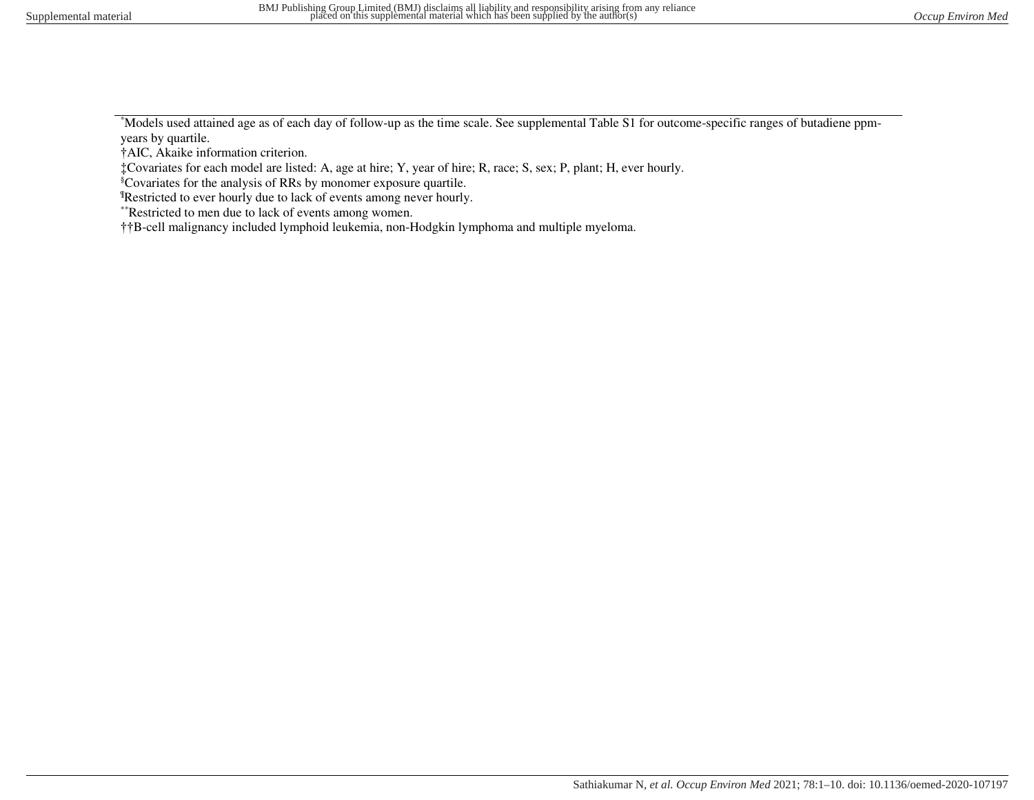\*Models used attained age as of each day of follow-up as the time scale. See supplemental Table S1 for outcome-specific ranges of butadiene ppmyears by quartile.

†AIC, Akaike information criterion.

‡Covariates for each model are listed: A, age at hire; Y, year of hire; R, race; S, sex; P, plant; H, ever hourly.

§Covariates for the analysis of RRs by monomer exposure quartile.

¶Restricted to ever hourly due to lack of events among never hourly.

\*\*Restricted to men due to lack of events among women.

††B-cell malignancy included lymphoid leukemia, non-Hodgkin lymphoma and multiple myeloma.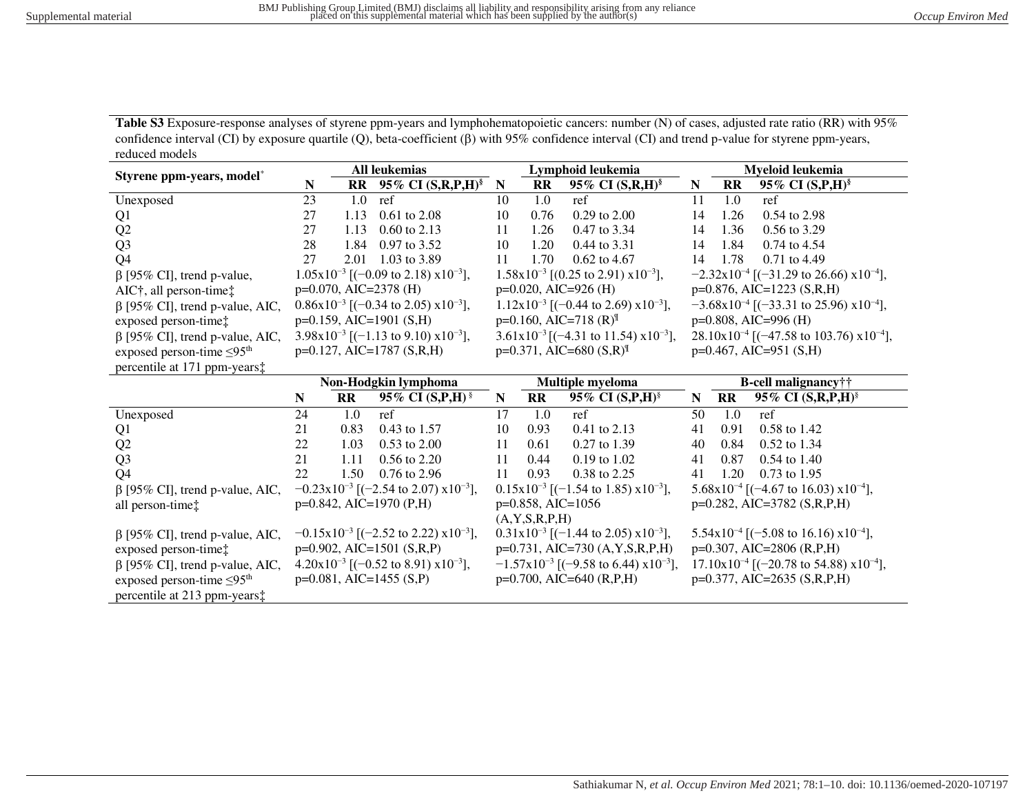Table S3 Exposure-response analyses of styrene ppm-years and lymphohematopoietic cancers: number (N) of cases, adjusted rate ratio (RR) with 95% confidence interval (CI) by exposure quartile (Q), beta-coefficient ( $\beta$ ) with 95% confidence interval (CI) and trend p-value for styrene ppm-years, reduced models

| Styrene ppm-years, model*                   | <b>All leukemias</b>                                       |                        |                                                             | Lymphoid leukemia                             |                        |                                                                |                                                             | Myeloid leukemia       |                                                               |  |
|---------------------------------------------|------------------------------------------------------------|------------------------|-------------------------------------------------------------|-----------------------------------------------|------------------------|----------------------------------------------------------------|-------------------------------------------------------------|------------------------|---------------------------------------------------------------|--|
|                                             | N                                                          | RR                     | 95% CI (S,R,P,H) <sup>§</sup>                               | N                                             | <b>RR</b>              | 95% CI $(S,R,H)$ <sup>§</sup>                                  | N                                                           | $\mathbf{R}$           | 95% CI $(S, P, H)$ <sup>§</sup>                               |  |
| Unexposed                                   | 23                                                         | 1.0                    | ref                                                         | 10                                            | 1.0                    | ref                                                            | 11                                                          | 1.0                    | ref                                                           |  |
| Q <sub>1</sub>                              | 27                                                         | 1.13                   | $0.61$ to $2.08$                                            | 10                                            | 0.76                   | $0.29$ to $2.00$                                               | 14                                                          | 1.26                   | 0.54 to 2.98                                                  |  |
| Q2                                          | 27                                                         | 1.13                   | $0.60$ to 2.13                                              | 11                                            | 1.26                   | 0.47 to 3.34                                                   | 14                                                          | 1.36                   | 0.56 to 3.29                                                  |  |
| Q <sub>3</sub>                              | 28                                                         | 1.84                   | 0.97 to 3.52                                                | 10                                            | 1.20                   | 0.44 to 3.31                                                   | 14                                                          | 1.84                   | 0.74 to 4.54                                                  |  |
| Q <sub>4</sub>                              | 27                                                         | 2.01                   | 1.03 to 3.89                                                | 11                                            | 1.70                   | 0.62 to 4.67                                                   | 14                                                          | 1.78                   | 0.71 to 4.49                                                  |  |
| $\beta$ [95% CI], trend p-value,            |                                                            |                        | $1.05x10^{-3}$ [(-0.09 to 2.18) $x10^{-3}$ ],               |                                               |                        | $1.58 \times 10^{-3}$ [(0.25 to 2.91) $\times 10^{-3}$ ],      |                                                             |                        | $-2.32 \times 10^{-4}$ [(-31.29 to 26.66) $\times 10^{-4}$ ], |  |
| AIC†, all person-time‡                      |                                                            |                        | $p=0.070$ , AIC=2378 (H)                                    |                                               |                        | $p=0.020$ , AIC=926 (H)                                        |                                                             |                        | $p=0.876$ , AIC=1223 (S,R,H)                                  |  |
| $\beta$ [95% CI], trend p-value, AIC,       |                                                            |                        | $0.86 \times 10^{-3}$ [(-0.34 to 2.05) $\times 10^{-3}$ ],  |                                               |                        | $1.12x10^{-3}$ [(-0.44 to 2.69) $x10^{-3}$ ],                  |                                                             |                        | $-3.68 \times 10^{-4}$ [(-33.31 to 25.96) $\times 10^{-4}$ ], |  |
| exposed person-time:                        | $p=0.159$ , AIC=1901 (S,H)                                 |                        |                                                             | $p=0.160$ , AIC=718 (R) <sup>II</sup>         |                        |                                                                |                                                             |                        | $p=0.808$ , AIC=996 (H)                                       |  |
| $\beta$ [95% CI], trend p-value, AIC,       | $3.98 \times 10^{-3}$ [(-1.13 to 9.10) $\times 10^{-3}$ ], |                        | $3.61x10^{-3}$ [(-4.31 to 11.54) $x10^{-3}$ ],              |                                               |                        | $28.10 \times 10^{-4}$ [(-47.58 to 103.76) $\times 10^{-4}$ ], |                                                             |                        |                                                               |  |
| exposed person-time $\leq 95$ <sup>th</sup> | $p=0.127$ , AIC=1787 (S,R,H)                               |                        | $p=0.371$ , AIC=680 (S,R) <sup>II</sup>                     |                                               |                        | $p=0.467$ , AIC=951 (S,H)                                      |                                                             |                        |                                                               |  |
| percentile at 171 ppm-years $\ddagger$      |                                                            |                        |                                                             |                                               |                        |                                                                |                                                             |                        |                                                               |  |
|                                             | Non-Hodgkin lymphoma                                       |                        |                                                             | Multiple myeloma                              |                        |                                                                | B-cell malignancy††                                         |                        |                                                               |  |
|                                             | N                                                          | $\mathbf{R}\mathbf{R}$ | 95% CI $(S, P, H)$ <sup>§</sup>                             | $\mathbf N$                                   | $\mathbf{R}\mathbf{R}$ | 95% CI (S,P,H) <sup>§</sup>                                    | N                                                           | $\mathbf{R}\mathbf{R}$ | 95% CI $(S, R, P, H)$ <sup>§</sup>                            |  |
| Unexposed                                   | 24                                                         | 1.0                    | ref                                                         | 17                                            | 1.0                    | ref                                                            | 50                                                          | 1.0                    | ref                                                           |  |
| Q <sub>1</sub>                              | 21                                                         | 0.83                   | 0.43 to 1.57                                                | 10                                            | 0.93                   | 0.41 to 2.13                                                   | 41                                                          | 0.91                   | 0.58 to 1.42                                                  |  |
| Q2                                          | 22                                                         | 1.03                   | 0.53 to 2.00                                                | 11                                            | 0.61                   | 0.27 to 1.39                                                   | 40                                                          | 0.84                   | 0.52 to 1.34                                                  |  |
| Q <sub>3</sub>                              | 21                                                         | 1.11                   | 0.56 to 2.20                                                | 11                                            | 0.44                   | $0.19$ to $1.02$                                               | 41                                                          | 0.87                   | $0.54$ to 1.40                                                |  |
| Q <sub>4</sub>                              | 22                                                         | 1.50                   | 0.76 to 2.96                                                | 11                                            | 0.93                   | 0.38 to 2.25                                                   | 41                                                          | 1.20                   | $0.73$ to $1.95$                                              |  |
| $\beta$ [95% CI], trend p-value, AIC,       |                                                            |                        | $-0.23 \times 10^{-3}$ [(-2.54 to 2.07) $\times 10^{-3}$ ], | $0.15x10^{-3}$ [(-1.54 to 1.85) $x10^{-3}$ ], |                        |                                                                | $5.68 \times 10^{-4}$ [(-4.67 to 16.03) $\times 10^{-4}$ ], |                        |                                                               |  |
| all person-time:                            |                                                            |                        | $p=0.842$ , AIC=1970 (P,H)                                  | $p=0.858$ , AIC=1056                          |                        |                                                                | p=0.282, AIC=3782 (S,R,P,H)                                 |                        |                                                               |  |
|                                             |                                                            |                        |                                                             |                                               | (A, Y, S, R, P, H)     |                                                                |                                                             |                        |                                                               |  |
| $\beta$ [95% CI], trend p-value, AIC,       |                                                            |                        | $-0.15x10^{-3}$ [(-2.52 to 2.22) $x10^{-3}$ ],              |                                               |                        | $0.31x10^{-3}$ [(-1.44 to 2.05) $x10^{-3}$ ],                  |                                                             |                        | $5.54 \times 10^{-4}$ [(-5.08 to 16.16) $\times 10^{-4}$ ],   |  |
| exposed person-time:                        |                                                            |                        | $p=0.902$ , AIC=1501 (S,R,P)                                |                                               |                        | p=0.731, AIC=730 (A, Y, S, R, P, H)                            |                                                             |                        | p=0.307, AIC=2806 (R,P,H)                                     |  |
| $\beta$ [95% CI], trend p-value, AIC,       |                                                            |                        | $4.20 \times 10^{-3}$ [(-0.52 to 8.91) $\times 10^{-3}$ ],  |                                               |                        | $-1.57x10^{-3}$ [(-9.58 to 6.44) $x10^{-3}$ ],                 |                                                             |                        | $17.10 \times 10^{-4}$ [(-20.78 to 54.88) $\times 10^{-4}$ ], |  |
| exposed person-time $\leq 95$ <sup>th</sup> |                                                            |                        | $p=0.081$ , AIC=1455 (S,P)                                  |                                               |                        | $p=0.700$ , AIC=640 (R,P,H)                                    |                                                             |                        | $p=0.377, AIC=2635 (S,R,P,H)$                                 |  |
| percentile at 213 ppm-years $\ddagger$      |                                                            |                        |                                                             |                                               |                        |                                                                |                                                             |                        |                                                               |  |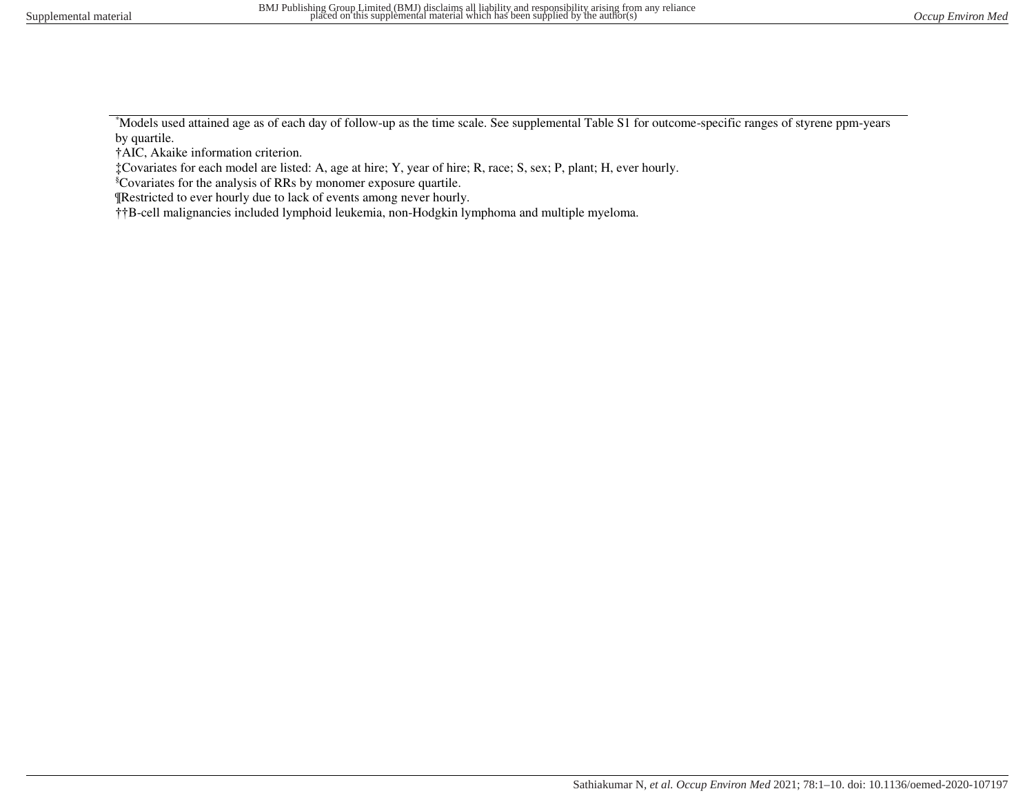\*Models used attained age as of each day of follow-up as the time scale. See supplemental Table S1 for outcome-specific ranges of styrene ppm-years by quartile.

†AIC, Akaike information criterion.

‡Covariates for each model are listed: A, age at hire; Y, year of hire; R, race; S, sex; P, plant; H, ever hourly.

§Covariates for the analysis of RRs by monomer exposure quartile.

¶Restricted to ever hourly due to lack of events among never hourly.

††B-cell malignancies included lymphoid leukemia, non-Hodgkin lymphoma and multiple myeloma.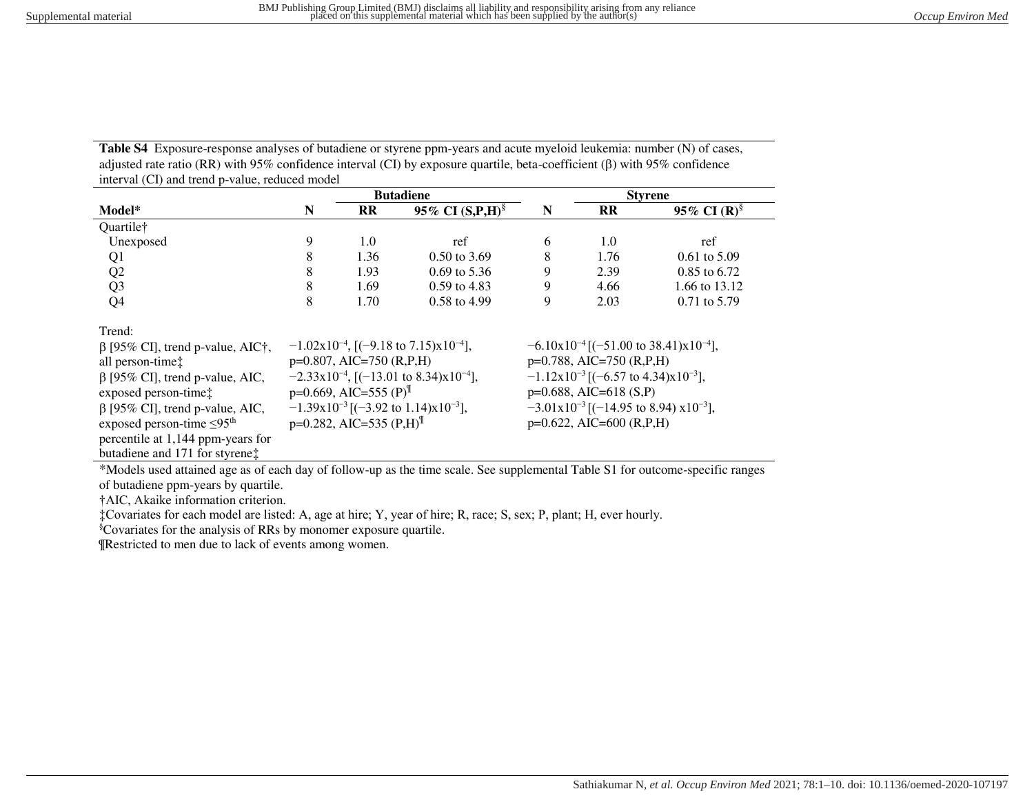**Table S4** Exposure-response analyses of butadiene or styrene ppm-years and acute myeloid leukemia: number (N) of cases, adjusted rate ratio (RR) with 95% confidence interval (CI) by exposure quartile, beta-coefficient ( $\beta$ ) with 95% confidence interval (CI) and trend p-value, reduced model

|                                             | <b>Butadiene</b> |                                         |                                                               |                                                             | <b>Styrene</b>              |                                                        |  |  |
|---------------------------------------------|------------------|-----------------------------------------|---------------------------------------------------------------|-------------------------------------------------------------|-----------------------------|--------------------------------------------------------|--|--|
| Model*                                      | N                | $\mathbf{R}$                            | 95% CI $(S, P, H)$ <sup>§</sup>                               | N                                                           | <b>RR</b>                   | 95% CI $(R)^{\S}$                                      |  |  |
| Quartile†                                   |                  |                                         |                                                               |                                                             |                             |                                                        |  |  |
| Unexposed                                   | 9                | 1.0                                     | ref                                                           | 6                                                           | 1.0                         | ref                                                    |  |  |
| Q1                                          | 8                | 1.36                                    | $0.50$ to 3.69                                                | 8                                                           | 1.76                        | $0.61$ to 5.09                                         |  |  |
| Q2                                          | 8                | 1.93                                    | $0.69$ to 5.36                                                | 9                                                           | 2.39                        | 0.85 to 6.72                                           |  |  |
| Q <sub>3</sub>                              | 8                | 1.69                                    | $0.59$ to 4.83                                                | 9                                                           | 4.66                        | 1.66 to 13.12                                          |  |  |
| Q <sub>4</sub>                              | 8                | 1.70                                    | 0.58 to 4.99                                                  | 9                                                           | 2.03                        | 0.71 to 5.79                                           |  |  |
| Trend:                                      |                  |                                         |                                                               |                                                             |                             |                                                        |  |  |
| $\beta$ [95% CI], trend p-value, AIC†,      |                  |                                         | $-1.02 \times 10^{-4}$ , [(-9.18 to 7.15) $\times 10^{-4}$ ], |                                                             |                             | $-6.10x10^{-4}$ [(-51.00 to 38.41)x10 <sup>-4</sup> ], |  |  |
| all person-time <sup>†</sup>                |                  | $p=0.807$ , AIC=750 (R,P,H)             |                                                               |                                                             | $p=0.788$ , AIC=750 (R,P,H) |                                                        |  |  |
| $\beta$ [95% CI], trend p-value, AIC,       |                  |                                         | $-2.33x10^{-4}$ , [(-13.01 to 8.34)x10 <sup>-4</sup> ],       | $-1.12 \times 10^{-3}$ [(-6.57 to 4.34) $\times 10^{-3}$ ], |                             |                                                        |  |  |
| exposed person-time:                        |                  | $p=0.669$ , AIC=555 (P) <sup>II</sup>   |                                                               | $p=0.688$ , AIC=618 (S,P)                                   |                             |                                                        |  |  |
| $\beta$ [95% CI], trend p-value, AIC,       |                  |                                         | $-1.39x10^{-3}$ [(-3.92 to 1.14)x10 <sup>-3</sup> ],          | $-3.01x10^{-3}$ [(-14.95 to 8.94) $x10^{-3}$ ],             |                             |                                                        |  |  |
| exposed person-time $\leq 95$ <sup>th</sup> |                  | $p=0.282$ , AIC=535 (P,H) <sup>II</sup> |                                                               | $p=0.622$ , AIC=600 (R,P,H)                                 |                             |                                                        |  |  |
| percentile at 1,144 ppm-years for           |                  |                                         |                                                               |                                                             |                             |                                                        |  |  |
| butadiene and 171 for styrene:              |                  |                                         |                                                               |                                                             |                             |                                                        |  |  |

\*Models used attained age as of each day of follow-up as the time scale. See supplemental Table S1 for outcome-specific ranges

of butadiene ppm-years by quartile.

†AIC, Akaike information criterion.

‡Covariates for each model are listed: A, age at hire; Y, year of hire; R, race; S, sex; P, plant; H, ever hourly.

§Covariates for the analysis of RRs by monomer exposure quartile.

¶Restricted to men due to lack of events among women.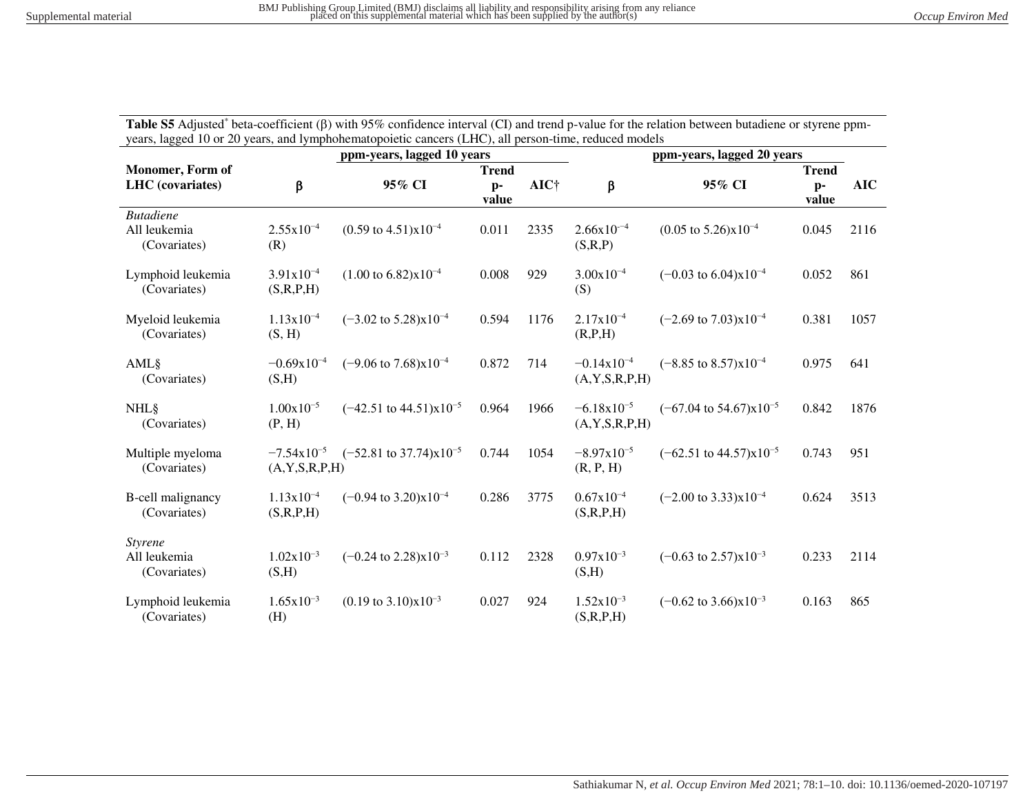Table S5 Adjusted\* beta-coefficient ( $\beta$ ) with 95% confidence interval (CI) and trend p-value for the relation between butadiene or styrene ppmyears, lagged 10 or 20 years, and lymphohematopoietic cancers (LHC), all person-time, reduced models

|                                                  |                                              | ppm-years, lagged 10 years                  |               |      | ppm-years, lagged 20 years            |                                             |               |            |  |  |
|--------------------------------------------------|----------------------------------------------|---------------------------------------------|---------------|------|---------------------------------------|---------------------------------------------|---------------|------------|--|--|
| <b>Monomer</b> , Form of                         |                                              |                                             | <b>Trend</b>  |      |                                       |                                             | <b>Trend</b>  |            |  |  |
| <b>LHC</b> (covariates)                          | β                                            | 95% CI                                      | $p-$<br>value | AIC† | $\beta$                               | 95% CI                                      | $p-$<br>value | <b>AIC</b> |  |  |
| <b>Butadiene</b><br>All leukemia<br>(Covariates) | $2.55x10^{-4}$<br>(R)                        | $(0.59 \text{ to } 4.51) \times 10^{-4}$    | 0.011         | 2335 | $2.66x10^{-4}$<br>(S,R,P)             | $(0.05 \text{ to } 5.26) \times 10^{-4}$    | 0.045         | 2116       |  |  |
| Lymphoid leukemia<br>(Covariates)                | $3.91x10^{-4}$<br>(S,R,P,H)                  | $(1.00 \text{ to } 6.82) \times 10^{-4}$    | 0.008         | 929  | $3.00x10^{-4}$<br>(S)                 | $(-0.03 \text{ to } 6.04) \times 10^{-4}$   | 0.052         | 861        |  |  |
| Myeloid leukemia<br>(Covariates)                 | $1.13x10^{-4}$<br>(S, H)                     | $(-3.02 \text{ to } 5.28) \times 10^{-4}$   | 0.594         | 1176 | $2.17x10^{-4}$<br>(R,P,H)             | $(-2.69 \text{ to } 7.03) \times 10^{-4}$   | 0.381         | 1057       |  |  |
| AML§<br>(Covariates)                             | $-0.69x10^{-4}$<br>(S,H)                     | $(-9.06 \text{ to } 7.68) \times 10^{-4}$   | 0.872         | 714  | $-0.14x10^{-4}$<br>(A, Y, S, R, P, H) | $(-8.85 \text{ to } 8.57) \times 10^{-4}$   | 0.975         | 641        |  |  |
| <b>NHL</b> §<br>(Covariates)                     | $1.00x10^{-5}$<br>(P, H)                     | $(-42.51 \text{ to } 44.51)\text{x}10^{-5}$ | 0.964         | 1966 | $-6.18x10^{-5}$<br>(A, Y, S, R, P, H) | $(-67.04 \text{ to } 54.67) \times 10^{-5}$ | 0.842         | 1876       |  |  |
| Multiple myeloma<br>(Covariates)                 | $-7.54 \times 10^{-5}$<br>(A, Y, S, R, P, H) | $(-52.81 \text{ to } 37.74) \times 10^{-5}$ | 0.744         | 1054 | $-8.97x10^{-5}$<br>(R, P, H)          | $(-62.51 \text{ to } 44.57) \times 10^{-5}$ | 0.743         | 951        |  |  |
| <b>B-cell malignancy</b><br>(Covariates)         | $1.13x10^{-4}$<br>(S,R,P,H)                  | $(-0.94 \text{ to } 3.20) \times 10^{-4}$   | 0.286         | 3775 | $0.67x10^{-4}$<br>(S,R,P,H)           | $(-2.00 \text{ to } 3.33) \times 10^{-4}$   | 0.624         | 3513       |  |  |
| <b>Styrene</b><br>All leukemia<br>(Covariates)   | $1.02x10^{-3}$<br>(S,H)                      | $(-0.24 \text{ to } 2.28) \times 10^{-3}$   | 0.112         | 2328 | $0.97x10^{-3}$<br>(S,H)               | $(-0.63 \text{ to } 2.57) \times 10^{-3}$   | 0.233         | 2114       |  |  |
| Lymphoid leukemia<br>(Covariates)                | $1.65x10^{-3}$<br>(H)                        | $(0.19 \text{ to } 3.10) \times 10^{-3}$    | 0.027         | 924  | $1.52x10^{-3}$<br>(S,R,P,H)           | $(-0.62 \text{ to } 3.66) \times 10^{-3}$   | 0.163         | 865        |  |  |